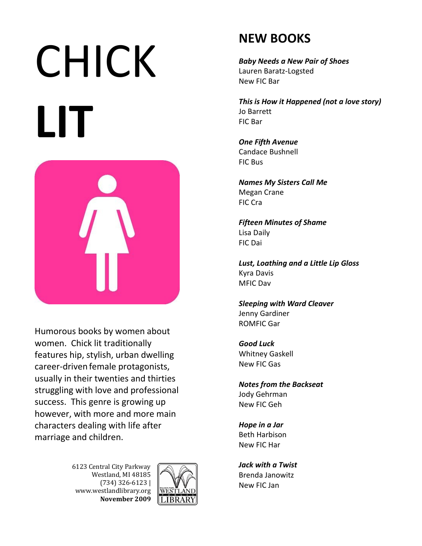## CHICK **LIT**



Humorous books by women about women. Chick lit traditionally features hip, stylish, urban dwelling career-driven female protagonists, usually in their twenties and thirties struggling with love and professional success. This genre is growing up however, with more and more main characters dealing with life after marriage and children.

> 6123 Central City Parkway Westland, MI 48185 (734) 326-6123 | www.westlandlibrary.org **November 2009**



## **NEW BOOKS**

*Baby Needs a New Pair of Shoes* [Lauren Baratz-Logsted](http://www.eharlequin.com/author.html?authorid=1018) New FIC Bar

*This is How it Happened (not a love story)* Jo Barrett FIC Bar

*One Fifth Avenue* Candace Bushnell FIC Bus

*Names My Sisters Call Me* Megan Crane FIC Cra

*Fifteen Minutes of Shame* Lisa Daily FIC Dai

*Lust, Loathing and a Little Lip Gloss* Kyra Davis MFIC Dav

*Sleeping with Ward Cleaver* Jenny Gardiner ROMFIC Gar

*Good Luck* Whitney Gaskell New FIC Gas

*Notes from the Backseat* Jody Gehrman New FIC Geh

*Hope in a Jar* Beth Harbison New FIC Har

*Jack with a Twist* Brenda Janowitz New FIC Jan